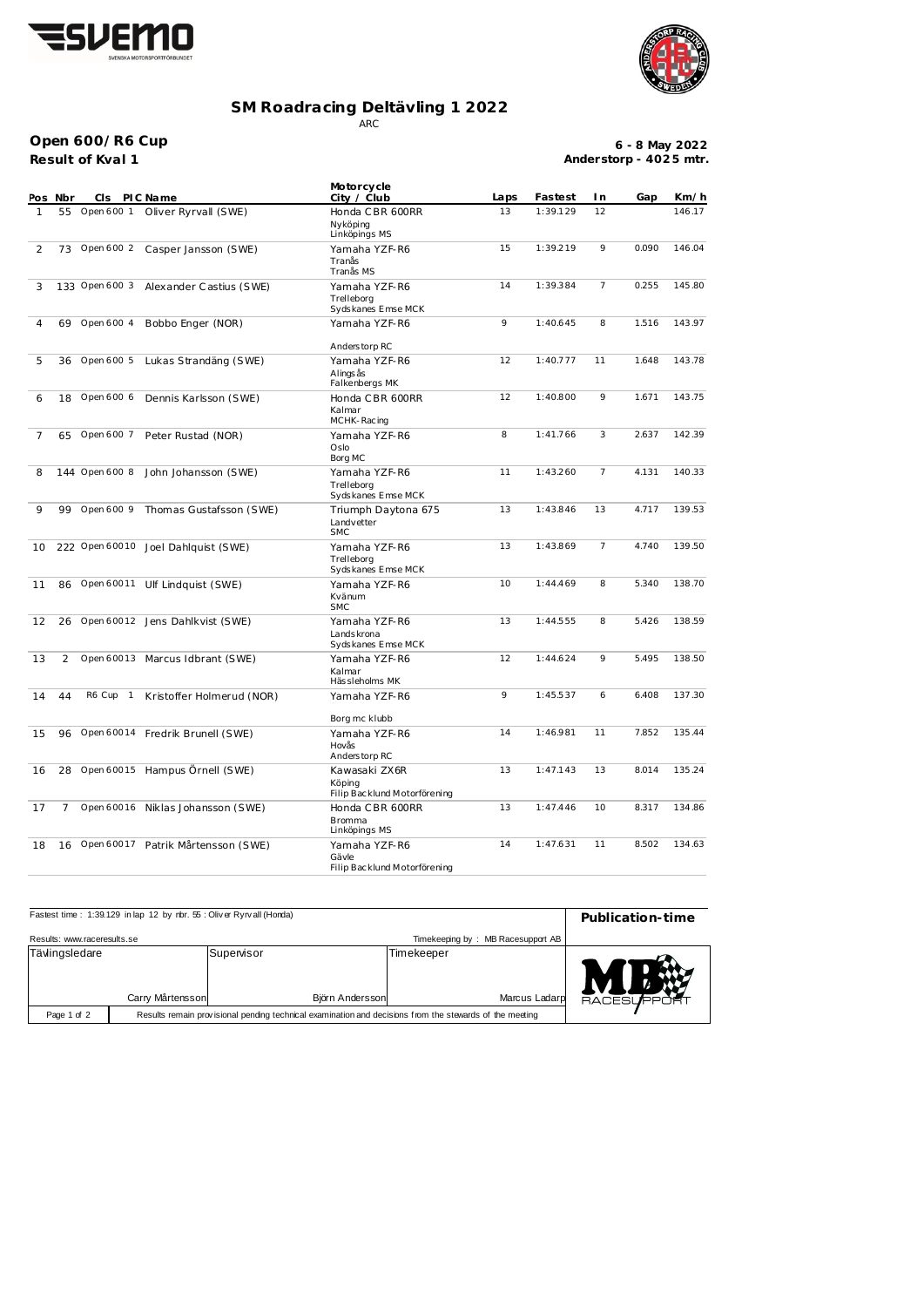



## **SM Roadracing Deltävling 1 2022** ARC

**Result of Kval 1 Open 600/R6 Cup**

**6 - 8 May 2022 Anderstorp - 402 5 mtr.**

| POS            | Nbr | CI s           | PIC Name                          | Motorcycle<br>City / Club                                | Laps | Fastest  | I n            | Gap   | Km/h   |
|----------------|-----|----------------|-----------------------------------|----------------------------------------------------------|------|----------|----------------|-------|--------|
| 1              | 55  | Open 600 1     | Oliver Ryrvall (SWE)              | Honda CBR 600RR<br>Nyköping<br>Linköpings MS             | 13   | 1:39.129 | 12             |       | 146.17 |
| 2              | 73  | Open 600 2     | Casper Jansson (SWE)              | Yamaha YZF-R6<br>Tranås<br>Tranås MS                     | 15   | 1:39.219 | 9              | 0.090 | 146.04 |
| 3              |     | 133 Open 600 3 | Alexander Castius (SWE)           | Yamaha YZF-R6<br>Trelleborg<br>Sydskanes Emse MCK        | 14   | 1:39.384 | $\overline{7}$ | 0.255 | 145.80 |
| 4              | 69  | Open 600 4     | Bobbo Enger (NOR)                 | Yamaha YZF-R6<br>Anderstorp RC                           | 9    | 1:40.645 | 8              | 1.516 | 143.97 |
| 5              | 36  | Open 600 5     | Lukas Strandäng (SWE)             | Yamaha YZF-R6<br>Alings ås<br>Falkenbergs MK             | 12   | 1:40.777 | 11             | 1.648 | 143.78 |
| 6              | 18  | Open 600 6     | Dennis Karlsson (SWE)             | Honda CBR 600RR<br>Kalmar<br>MCHK-Racing                 | 12   | 1:40.800 | 9              | 1.671 | 143.75 |
| $\overline{7}$ | 65  | Open 600 7     | Peter Rustad (NOR)                | Yamaha YZF-R6<br>Oslo<br>Borg MC                         | 8    | 1:41.766 | 3              | 2.637 | 142.39 |
| 8              |     | 144 Open 600 8 | John Johansson (SWE)              | Yamaha YZF-R6<br>Trelleborg<br>Sydskanes Emse MCK        | 11   | 1:43.260 | 7              | 4.131 | 140.33 |
| 9              | 99  | Open 600 9     | Thomas Gustafsson (SWE)           | Triumph Daytona 675<br>Landvetter<br><b>SMC</b>          | 13   | 1:43.846 | 13             | 4.717 | 139.53 |
| 10             |     | 222 Open 60010 | Joel Dahlquist (SWE)              | Yamaha YZF-R6<br>Trelleborg<br>Sydskanes Emse MCK        | 13   | 1:43.869 | 7              | 4.740 | 139.50 |
| 11             | 86  | Open 60011     | Ulf Lindquist (SWE)               | Yamaha YZF-R6<br>Kvänum<br><b>SMC</b>                    | 10   | 1:44.469 | 8              | 5.340 | 138.70 |
| 12             | 26  | Open 60012     | Jens Dahlkvist (SWE)              | Yamaha YZF-R6<br>Lands krona<br>Sydskanes Emse MCK       | 13   | 1:44.555 | 8              | 5.426 | 138.59 |
| 13             | 2   | Open 60013     | Marcus Idbrant (SWE)              | Yamaha YZF-R6<br>Kalmar<br>Hässleholms MK                | 12   | 1:44.624 | 9              | 5.495 | 138.50 |
| 14             | 44  | R6 Cup 1       | Kristoffer Holmerud (NOR)         | Yamaha YZF-R6                                            | 9    | 1:45.537 | 6              | 6.408 | 137.30 |
| 15             | 96  | Open 60014     | Fredrik Brunell (SWE)             | Borg mc klubb<br>Yamaha YZF-R6<br>Hovås<br>Anderstorp RC | 14   | 1:46.981 | 11             | 7.852 | 135.44 |
| 16             | 28  |                | Open 60015 Hampus Örnell (SWE)    | Kawasaki ZX6R<br>Köping<br>Filip Backlund Motorförening  | 13   | 1:47.143 | 13             | 8.014 | 135.24 |
| 17             | 7   |                | Open 60016 Niklas Johansson (SWE) | Honda CBR 600RR<br><b>Bromma</b><br>Linköpings MS        | 13   | 1:47.446 | 10             | 8.317 | 134.86 |
| 18             | 16  | Open 60017     | Patrik Mårtensson (SWE)           | Yamaha YZF-R6<br>Gävle<br>Filip Backlund Motorförening   | 14   | 1:47.631 | 11             | 8.502 | 134.63 |

| Fastest time: 1:39.129 in lap 12 by rbr. 55: Oliver Ryrvall (Honda)                                                    | Publication-time |                               |                             |            |  |  |  |
|------------------------------------------------------------------------------------------------------------------------|------------------|-------------------------------|-----------------------------|------------|--|--|--|
| Results: www.raceresults.se                                                                                            |                  |                               |                             |            |  |  |  |
| Tävlingsledare                                                                                                         | Carry Mårtensson | Supervisor<br>Björn Andersson | Timekeeper<br>Marcus Ladarp | RACESUPPOR |  |  |  |
| Results remain provisional pending technical examination and decisions from the stewards of the meeting<br>Page 1 of 2 |                  |                               |                             |            |  |  |  |